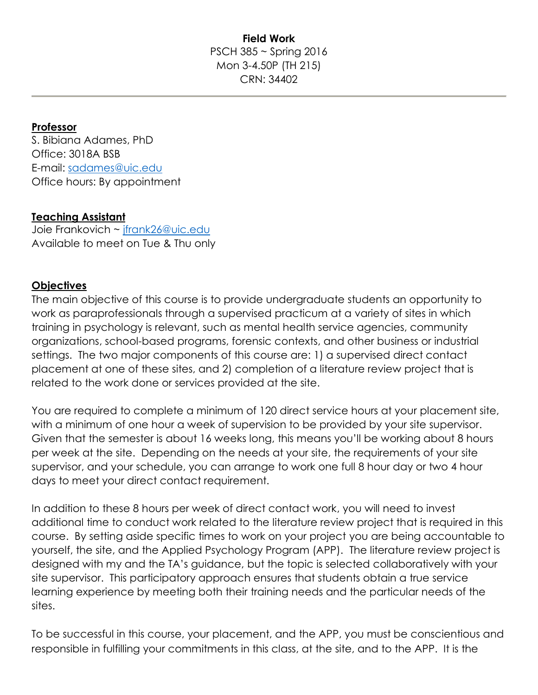### **Field Work** PSCH 385 ~ Spring 2016 Mon 3-4.50P (TH 215) CRN: 34402

### **Professor**

S. Bibiana Adames, PhD Office: 3018A BSB E-mail: [sadames@uic.edu](mailto:sadames@uic.edu) Office hours: By appointment

#### **Teaching Assistant**

Joie Frankovich ~ [jfrank26@uic.edu](mailto:jfrank26@uic.edu) Available to meet on Tue & Thu only

### **Objectives**

The main objective of this course is to provide undergraduate students an opportunity to work as paraprofessionals through a supervised practicum at a variety of sites in which training in psychology is relevant, such as mental health service agencies, community organizations, school-based programs, forensic contexts, and other business or industrial settings. The two major components of this course are: 1) a supervised direct contact placement at one of these sites, and 2) completion of a literature review project that is related to the work done or services provided at the site.

You are required to complete a minimum of 120 direct service hours at your placement site, with a minimum of one hour a week of supervision to be provided by your site supervisor. Given that the semester is about 16 weeks long, this means you'll be working about 8 hours per week at the site. Depending on the needs at your site, the requirements of your site supervisor, and your schedule, you can arrange to work one full 8 hour day or two 4 hour days to meet your direct contact requirement.

In addition to these 8 hours per week of direct contact work, you will need to invest additional time to conduct work related to the literature review project that is required in this course. By setting aside specific times to work on your project you are being accountable to yourself, the site, and the Applied Psychology Program (APP). The literature review project is designed with my and the TA's guidance, but the topic is selected collaboratively with your site supervisor. This participatory approach ensures that students obtain a true service learning experience by meeting both their training needs and the particular needs of the sites.

To be successful in this course, your placement, and the APP, you must be conscientious and responsible in fulfilling your commitments in this class, at the site, and to the APP. It is the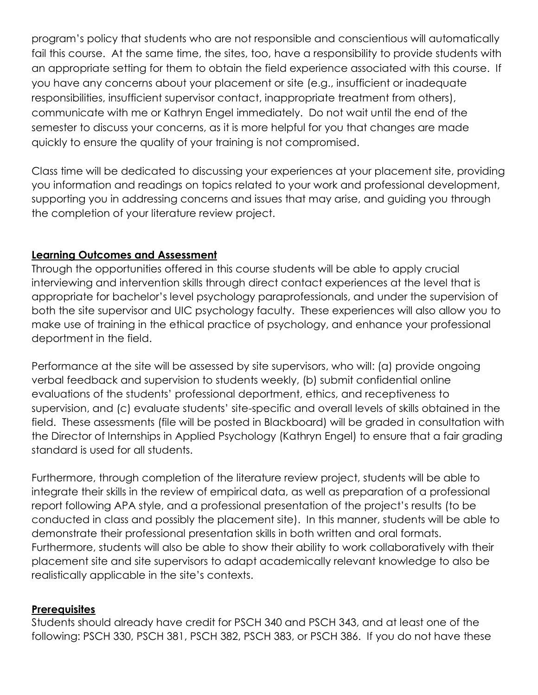program's policy that students who are not responsible and conscientious will automatically fail this course. At the same time, the sites, too, have a responsibility to provide students with an appropriate setting for them to obtain the field experience associated with this course. If you have any concerns about your placement or site (e.g., insufficient or inadequate responsibilities, insufficient supervisor contact, inappropriate treatment from others), communicate with me or Kathryn Engel immediately. Do not wait until the end of the semester to discuss your concerns, as it is more helpful for you that changes are made quickly to ensure the quality of your training is not compromised.

Class time will be dedicated to discussing your experiences at your placement site, providing you information and readings on topics related to your work and professional development, supporting you in addressing concerns and issues that may arise, and guiding you through the completion of your literature review project.

## **Learning Outcomes and Assessment**

Through the opportunities offered in this course students will be able to apply crucial interviewing and intervention skills through direct contact experiences at the level that is appropriate for bachelor's level psychology paraprofessionals, and under the supervision of both the site supervisor and UIC psychology faculty. These experiences will also allow you to make use of training in the ethical practice of psychology, and enhance your professional deportment in the field.

Performance at the site will be assessed by site supervisors, who will: (a) provide ongoing verbal feedback and supervision to students weekly, (b) submit confidential online evaluations of the students' professional deportment, ethics, and receptiveness to supervision, and (c) evaluate students' site-specific and overall levels of skills obtained in the field. These assessments (file will be posted in Blackboard) will be graded in consultation with the Director of Internships in Applied Psychology (Kathryn Engel) to ensure that a fair grading standard is used for all students.

Furthermore, through completion of the literature review project, students will be able to integrate their skills in the review of empirical data, as well as preparation of a professional report following APA style, and a professional presentation of the project's results (to be conducted in class and possibly the placement site). In this manner, students will be able to demonstrate their professional presentation skills in both written and oral formats. Furthermore, students will also be able to show their ability to work collaboratively with their placement site and site supervisors to adapt academically relevant knowledge to also be realistically applicable in the site's contexts.

#### **Prerequisites**

Students should already have credit for PSCH 340 and PSCH 343, and at least one of the following: PSCH 330, PSCH 381, PSCH 382, PSCH 383, or PSCH 386. If you do not have these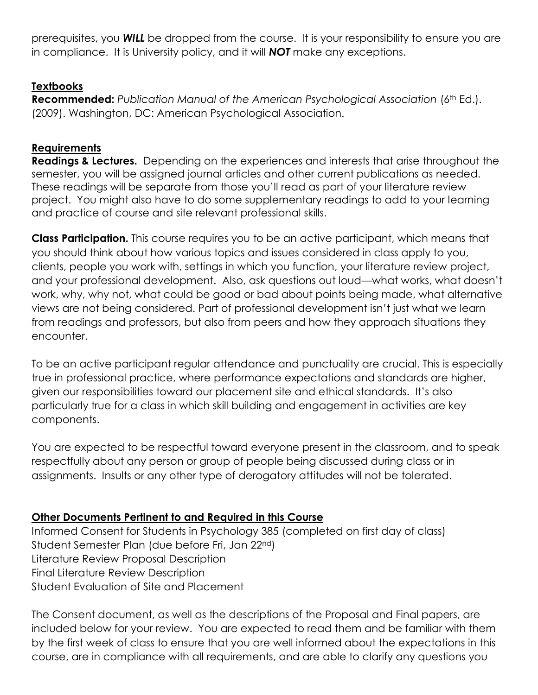prerequisites, you *WILL* be dropped from the course. It is your responsibility to ensure you are in compliance. It is University policy, and it will *NOT* make any exceptions.

# **Textbooks**

**Recommended:** Publication Manual of the American Psychological Association (6<sup>th</sup> Ed.). (2009). Washington, DC: American Psychological Association.

# **Requirements**

**Readings & Lectures.** Depending on the experiences and interests that arise throughout the semester, you will be assigned journal articles and other current publications as needed. These readings will be separate from those you'll read as part of your literature review project. You might also have to do some supplementary readings to add to your learning and practice of course and site relevant professional skills.

**Class Participation.** This course requires you to be an active participant, which means that you should think about how various topics and issues considered in class apply to you, clients, people you work with, settings in which you function, your literature review project, and your professional development. Also, ask questions out loud—what works, what doesn't work, why, why not, what could be good or bad about points being made, what alternative views are not being considered. Part of professional development isn't just what we learn from readings and professors, but also from peers and how they approach situations they encounter.

To be an active participant regular attendance and punctuality are crucial. This is especially true in professional practice, where performance expectations and standards are higher, given our responsibilities toward our placement site and ethical standards. It's also particularly true for a class in which skill building and engagement in activities are key components.

You are expected to be respectful toward everyone present in the classroom, and to speak respectfully about any person or group of people being discussed during class or in assignments. Insults or any other type of derogatory attitudes will not be tolerated.

# **Other Documents Pertinent to and Required in this Course**

Informed Consent for Students in Psychology 385 (completed on first day of class) Student Semester Plan (due before Fri, Jan 22nd) Literature Review Proposal Description Final Literature Review Description Student Evaluation of Site and Placement

The Consent document, as well as the descriptions of the Proposal and Final papers, are included below for your review. You are expected to read them and be familiar with them by the first week of class to ensure that you are well informed about the expectations in this course, are in compliance with all requirements, and are able to clarify any questions you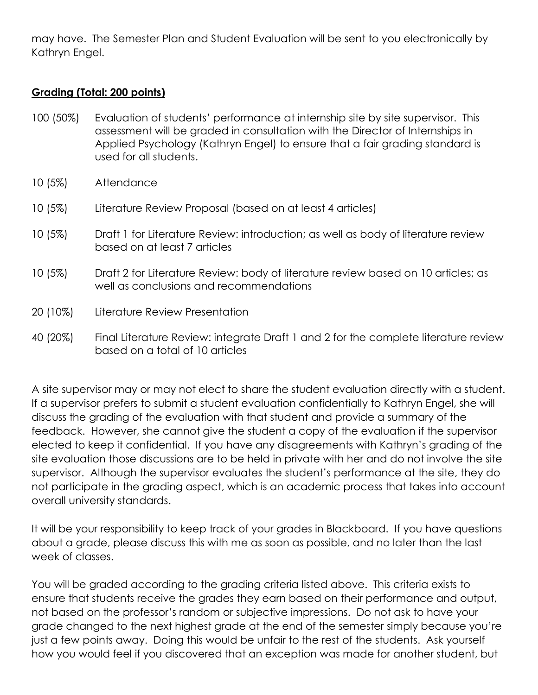may have. The Semester Plan and Student Evaluation will be sent to you electronically by Kathryn Engel.

### **Grading (Total: 200 points)**

- 100 (50%) Evaluation of students' performance at internship site by site supervisor. This assessment will be graded in consultation with the Director of Internships in Applied Psychology (Kathryn Engel) to ensure that a fair grading standard is used for all students.
- 10 (5%) Attendance
- 10 (5%) Literature Review Proposal (based on at least 4 articles)
- 10 (5%) Draft 1 for Literature Review: introduction; as well as body of literature review based on at least 7 articles
- 10 (5%) Draft 2 for Literature Review: body of literature review based on 10 articles; as well as conclusions and recommendations
- 20 (10%) Literature Review Presentation
- 40 (20%) Final Literature Review: integrate Draft 1 and 2 for the complete literature review based on a total of 10 articles

A site supervisor may or may not elect to share the student evaluation directly with a student. If a supervisor prefers to submit a student evaluation confidentially to Kathryn Engel, she will discuss the grading of the evaluation with that student and provide a summary of the feedback. However, she cannot give the student a copy of the evaluation if the supervisor elected to keep it confidential. If you have any disagreements with Kathryn's grading of the site evaluation those discussions are to be held in private with her and do not involve the site supervisor. Although the supervisor evaluates the student's performance at the site, they do not participate in the grading aspect, which is an academic process that takes into account overall university standards.

It will be your responsibility to keep track of your grades in Blackboard. If you have questions about a grade, please discuss this with me as soon as possible, and no later than the last week of classes.

You will be graded according to the grading criteria listed above. This criteria exists to ensure that students receive the grades they earn based on their performance and output, not based on the professor's random or subjective impressions. Do not ask to have your grade changed to the next highest grade at the end of the semester simply because you're just a few points away. Doing this would be unfair to the rest of the students. Ask yourself how you would feel if you discovered that an exception was made for another student, but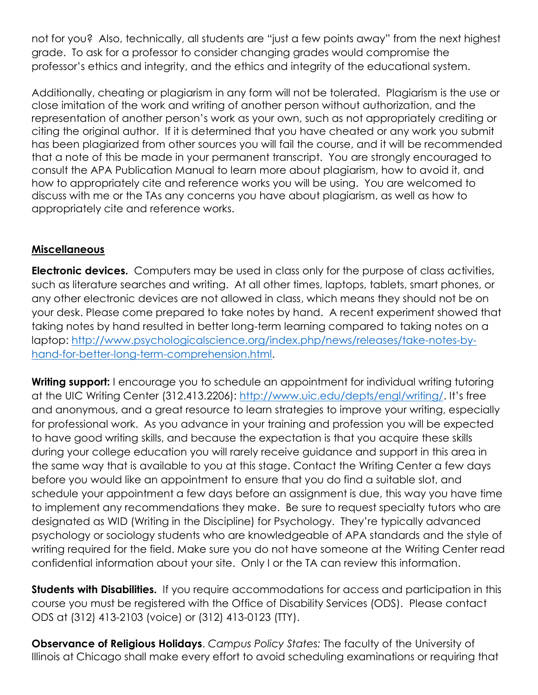not for you? Also, technically, all students are "just a few points away" from the next highest grade. To ask for a professor to consider changing grades would compromise the professor's ethics and integrity, and the ethics and integrity of the educational system.

Additionally, cheating or plagiarism in any form will not be tolerated. Plagiarism is the use or close imitation of the work and writing of another person without authorization, and the representation of another person's work as your own, such as not appropriately crediting or citing the original author. If it is determined that you have cheated or any work you submit has been plagiarized from other sources you will fail the course, and it will be recommended that a note of this be made in your permanent transcript. You are strongly encouraged to consult the APA Publication Manual to learn more about plagiarism, how to avoid it, and how to appropriately cite and reference works you will be using. You are welcomed to discuss with me or the TAs any concerns you have about plagiarism, as well as how to appropriately cite and reference works.

# **Miscellaneous**

**Electronic devices.** Computers may be used in class only for the purpose of class activities, such as literature searches and writing. At all other times, laptops, tablets, smart phones, or any other electronic devices are not allowed in class, which means they should not be on your desk. Please come prepared to take notes by hand. A recent experiment showed that taking notes by hand resulted in better long-term learning compared to taking notes on a laptop: [http://www.psychologicalscience.org/index.php/news/releases/take-notes-by](http://www.psychologicalscience.org/index.php/news/releases/take-notes-by-hand-for-better-long-term-comprehension.html)[hand-for-better-long-term-comprehension.html.](http://www.psychologicalscience.org/index.php/news/releases/take-notes-by-hand-for-better-long-term-comprehension.html)

**Writing support:** I encourage you to schedule an appointment for individual writing tutoring at the UIC Writing Center (312.413.2206):<http://www.uic.edu/depts/engl/writing/>. It's free and anonymous, and a great resource to learn strategies to improve your writing, especially for professional work. As you advance in your training and profession you will be expected to have good writing skills, and because the expectation is that you acquire these skills during your college education you will rarely receive guidance and support in this area in the same way that is available to you at this stage. Contact the Writing Center a few days before you would like an appointment to ensure that you do find a suitable slot, and schedule your appointment a few days before an assignment is due, this way you have time to implement any recommendations they make. Be sure to request specialty tutors who are designated as WID (Writing in the Discipline) for Psychology. They're typically advanced psychology or sociology students who are knowledgeable of APA standards and the style of writing required for the field. Make sure you do not have someone at the Writing Center read confidential information about your site. Only I or the TA can review this information.

**Students with Disabilities.** If you require accommodations for access and participation in this course you must be registered with the Office of Disability Services (ODS). Please contact ODS at (312) 413-2103 (voice) or (312) 413-0123 (TTY).

**Observance of Religious Holidays**. *Campus Policy States:* The faculty of the University of Illinois at Chicago shall make every effort to avoid scheduling examinations or requiring that